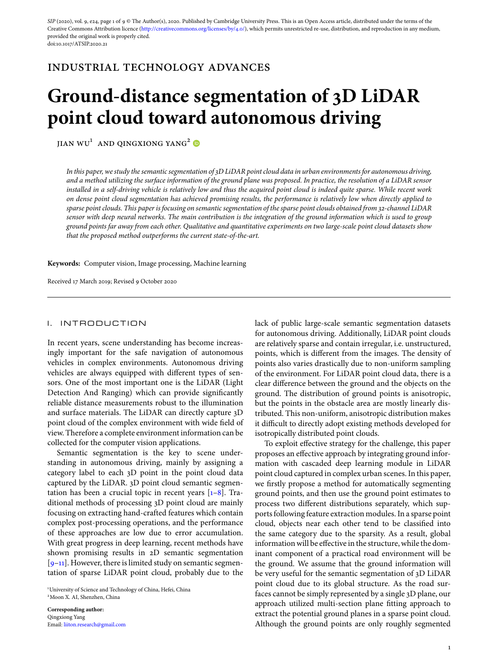SIP (2020), vol. 9, e24, page 1 of 9 © The Author(s), 2020. Published by Cambridge University Press. This is an Open Access article, distributed under the terms of the Creative Commons Attribution licence [\(http://creativecommons.org/licenses/by/4.0/\)](http://creativecommons.org/licenses/by/4.0/), which permits unrestricted re-use, distribution, and reproduction in any medium, provided the original work is properly cited. doi:10.1017/ATSIP.2020.21

# industrial technology advances

# **Ground-distance segmentation of 3D LiDAR point cloud toward autonomous driving**

 $JIAN WU<sup>1</sup> AND QINGXIONG YANG<sup>2</sup>  $\bullet$$ 

*In this paper, we study the semantic segmentation of 3D LiDAR point cloud data in urban environments for autonomous driving, and a method utilizing the surface information of the ground plane was proposed. In practice, the resolution of a LiDAR sensor installed in a self-driving vehicle is relatively low and thus the acquired point cloud is indeed quite sparse. While recent work on dense point cloud segmentation has achieved promising results, the performance is relatively low when directly applied to sparse point clouds. This paper is focusing on semantic segmentation of the sparse point clouds obtained from 32-channel LiDAR sensor with deep neural networks. The main contribution is the integration of the ground information which is used to group ground points far away from each other. Qualitative and quantitative experiments on two large-scale point cloud datasets show that the proposed method outperforms the current state-of-the-art.*

**Keywords:** Computer vision, Image processing, Machine learning

Received 17 March 2019; Revised 9 October 2020

#### I. INTRODUCTION

In recent years, scene understanding has become increasingly important for the safe navigation of autonomous vehicles in complex environments. Autonomous driving vehicles are always equipped with different types of sensors. One of the most important one is the LiDAR (Light Detection And Ranging) which can provide significantly reliable distance measurements robust to the illumination and surface materials. The LiDAR can directly capture 3D point cloud of the complex environment with wide field of view. Therefore a complete environment information can be collected for the computer vision applications.

Semantic segmentation is the key to scene understanding in autonomous driving, mainly by assigning a category label to each 3D point in the point cloud data captured by the LiDAR. 3D point cloud semantic segmentation has been a crucial topic in recent years [\[1–](#page-7-0)[8\]](#page-7-1). Traditional methods of processing 3D point cloud are mainly focusing on extracting hand-crafted features which contain complex post-processing operations, and the performance of these approaches are low due to error accumulation. With great progress in deep learning, recent methods have shown promising results in 2D semantic segmentation  $[9-11]$  $[9-11]$ . However, there is limited study on semantic segmentation of sparse LiDAR point cloud, probably due to the

1 University of Science and Technology of China, Hefei, China 2Moon X. AI, Shenzhen, China

**Corresponding author:** Qingxiong Yang Email: [liiton.research@gmail.com](mailto:liiton.research@gmail.com) lack of public large-scale semantic segmentation datasets for autonomous driving. Additionally, LiDAR point clouds are relatively sparse and contain irregular, i.e. unstructured, points, which is different from the images. The density of points also varies drastically due to non-uniform sampling of the environment. For LiDAR point cloud data, there is a clear difference between the ground and the objects on the ground. The distribution of ground points is anisotropic, but the points in the obstacle area are mostly linearly distributed. This non-uniform, anisotropic distribution makes it difficult to directly adopt existing methods developed for isotropically distributed point clouds.

To exploit effective strategy for the challenge, this paper proposes an effective approach by integrating ground information with cascaded deep learning module in LiDAR point cloud captured in complex urban scenes. In this paper, we firstly propose a method for automatically segmenting ground points, and then use the ground point estimates to process two different distributions separately, which supports following feature extraction modules. In a sparse point cloud, objects near each other tend to be classified into the same category due to the sparsity. As a result, global information will be effective in the structure, while the dominant component of a practical road environment will be the ground. We assume that the ground information will be very useful for the semantic segmentation of 3D LiDAR point cloud due to its global structure. As the road surfaces cannot be simply represented by a single 3D plane, our approach utilized multi-section plane fitting approach to extract the potential ground planes in a sparse point cloud. Although the ground points are only roughly segmented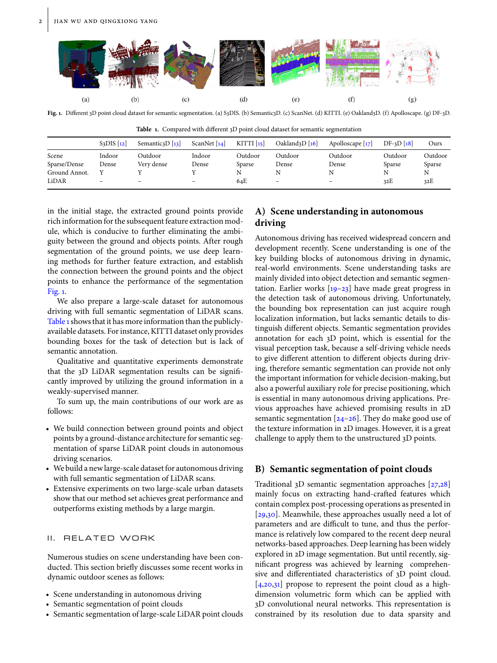

<span id="page-1-0"></span>**Fig. 1.** Different 3D point cloud dataset for semantic segmentation. (a) S3DIS. (b) Semantic3D. (c) ScanNet. (d) KITTI. (e) Oakland3D. (f) Apolloscape. (g) DF-3D.

<span id="page-1-1"></span>

| <b>Table 1.</b> Compared with different 3D point cloud dataset for semantic segmentation |                                |                          |                            |                          |                                           |                    |             |         |
|------------------------------------------------------------------------------------------|--------------------------------|--------------------------|----------------------------|--------------------------|-------------------------------------------|--------------------|-------------|---------|
|                                                                                          | $S3DIS$ $\lceil$ <sub>12</sub> | Semantics $D$ [13]       | ScanNet $\lceil 14 \rceil$ | KITTI $\lceil 15 \rceil$ | Oakland <sub>3</sub> D $\lceil 16 \rceil$ | Apolloscape $[17]$ | $DF-3D[18]$ | Ours    |
| Scene                                                                                    | Indoor                         | Outdoor                  | Indoor                     | Outdoor                  | Outdoor                                   | Outdoor            | Outdoor     | Outdooi |
| Sparse/Dense                                                                             | Dense                          | Very dense               | Dense                      | Sparse                   | Dense                                     | Dense              | Sparse      | Sparse  |
| Ground Annot.                                                                            |                                |                          |                            | N                        | N                                         |                    |             |         |
| LiDAR                                                                                    | -                              | $\overline{\phantom{0}}$ | -                          | 64E                      | $\overline{\phantom{a}}$                  |                    | 32E         | 32E     |

in the initial stage, the extracted ground points provide rich information for the subsequent feature extraction module, which is conducive to further eliminating the ambiguity between the ground and objects points. After rough segmentation of the ground points, we use deep learning methods for further feature extraction, and establish the connection between the ground points and the object points to enhance the performance of the segmentation [Fig. 1.](#page-1-0)

We also prepare a large-scale dataset for autonomous driving with full semantic segmentation of LiDAR scans. [Table](#page-1-1) [1](#page-1-1) shows that it has more information than the publiclyavailable datasets. For instance, KITTI dataset only provides bounding boxes for the task of detection but is lack of semantic annotation.

Qualitative and quantitative experiments demonstrate that the 3D LiDAR segmentation results can be significantly improved by utilizing the ground information in a weakly-supervised manner.

To sum up, the main contributions of our work are as follows:

- We build connection between ground points and object points by a ground-distance architecture for semantic segmentation of sparse LiDAR point clouds in autonomous driving scenarios.
- We build a new large-scale dataset for autonomous driving with full semantic segmentation of LiDAR scans.
- Extensive experiments on two large-scale urban datasets show that our method set achieves great performance and outperforms existing methods by a large margin.

## II. RELATED WORK

Numerous studies on scene understanding have been conducted. This section briefly discusses some recent works in dynamic outdoor scenes as follows:

- Scene understanding in autonomous driving
- Semantic segmentation of point clouds
- Semantic segmentation of large-scale LiDAR point clouds

# **A) Scene understanding in autonomous driving**

Autonomous driving has received widespread concern and development recently. Scene understanding is one of the key building blocks of autonomous driving in dynamic, real-world environments. Scene understanding tasks are mainly divided into object detection and semantic segmentation. Earlier works  $[19-23]$  $[19-23]$  have made great progress in the detection task of autonomous driving. Unfortunately, the bounding box representation can just acquire rough localization information, but lacks semantic details to distinguish different objects. Semantic segmentation provides annotation for each 3D point, which is essential for the visual perception task, because a self-driving vehicle needs to give different attention to different objects during driving, therefore semantic segmentation can provide not only the important information for vehicle decision-making, but also a powerful auxiliary role for precise positioning, which is essential in many autonomous driving applications. Previous approaches have achieved promising results in 2D semantic segmentation  $[24-26]$  $[24-26]$ . They do make good use of the texture information in 2D images. However, it is a great challenge to apply them to the unstructured 3D points.

# **B) Semantic segmentation of point clouds**

Traditional 3D semantic segmentation approaches [\[27,](#page-7-15)[28\]](#page-7-16) mainly focus on extracting hand-crafted features which contain complex post-processing operations as presented in [\[29](#page-7-17)[,30\]](#page-7-18). Meanwhile, these approaches usually need a lot of parameters and are difficult to tune, and thus the performance is relatively low compared to the recent deep neural networks-based approaches. Deep learning has been widely explored in 2D image segmentation. But until recently, significant progress was achieved by learning comprehensive and differentiated characteristics of 3D point cloud.  $[4,20,31]$  $[4,20,31]$  $[4,20,31]$  propose to represent the point cloud as a highdimension volumetric form which can be applied with 3D convolutional neural networks. This representation is constrained by its resolution due to data sparsity and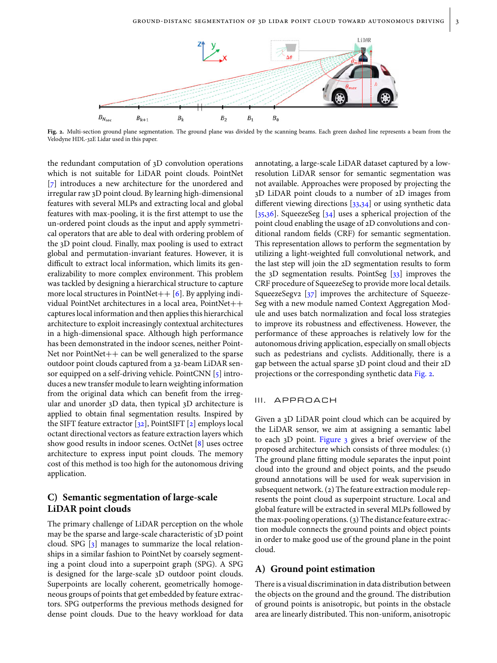

<span id="page-2-0"></span>**Fig. 2.** Multi-section ground plane segmentation. The ground plane was divided by the scanning beams. Each green dashed line represents a beam from the Velodyne HDL-32E Lidar used in this paper.

the redundant computation of 3D convolution operations which is not suitable for LiDAR point clouds. PointNet [\[7\]](#page-7-22) introduces a new architecture for the unordered and irregular raw 3D point cloud. By learning high-dimensional features with several MLPs and extracting local and global features with max-pooling, it is the first attempt to use the un-ordered point clouds as the input and apply symmetrical operators that are able to deal with ordering problem of the 3D point cloud. Finally, max pooling is used to extract global and permutation-invariant features. However, it is difficult to extract local information, which limits its generalizability to more complex environment. This problem was tackled by designing a hierarchical structure to capture more local structures in PointNet $++$  [\[6\]](#page-7-23). By applying individual PointNet architectures in a local area, PointNet++ captures local information and then applies this hierarchical architecture to exploit increasingly contextual architectures in a high-dimensional space. Although high performance has been demonstrated in the indoor scenes, neither Point-Net nor Point $Net++$  can be well generalized to the sparse outdoor point clouds captured from a 32-beam LiDAR sensor equipped on a self-driving vehicle. PointCNN [\[5\]](#page-7-24) introduces a new transfer module to learn weighting information from the original data which can benefit from the irregular and unorder 3D data, then typical 3D architecture is applied to obtain final segmentation results. Inspired by the SIFT feature extractor [\[32\]](#page-8-0), PointSIFT [\[2\]](#page-7-25) employs local octant directional vectors as feature extraction layers which show good results in indoor scenes. OctNet [\[8\]](#page-7-1) uses octree architecture to express input point clouds. The memory cost of this method is too high for the autonomous driving application.

# **C) Semantic segmentation of large-scale LiDAR point clouds**

The primary challenge of LiDAR perception on the whole may be the sparse and large-scale characteristic of 3D point cloud. SPG [\[3\]](#page-7-26) manages to summarize the local relationships in a similar fashion to PointNet by coarsely segmenting a point cloud into a superpoint graph (SPG). A SPG is designed for the large-scale 3D outdoor point clouds. Superpoints are locally coherent, geometrically homogeneous groups of points that get embedded by feature extractors. SPG outperforms the previous methods designed for dense point clouds. Due to the heavy workload for data

annotating, a large-scale LiDAR dataset captured by a lowresolution LiDAR sensor for semantic segmentation was not available. Approaches were proposed by projecting the 3D LiDAR point clouds to a number of 2D images from different viewing directions [\[33](#page-8-1)[,34\]](#page-8-2) or using synthetic data [\[35](#page-8-3)[,36\]](#page-8-4). SqueezeSeg [\[34\]](#page-8-2) uses a spherical projection of the point cloud enabling the usage of 2D convolutions and conditional random fields (CRF) for semantic segmentation. This representation allows to perform the segmentation by utilizing a light-weighted full convolutional network, and the last step will join the 2D segmentation results to form the  $3D$  segmentation results. PointSeg  $[33]$  improves the CRF procedure of SqueezeSeg to provide more local details. SqueezeSegv2  $[37]$  improves the architecture of Squeeze-Seg with a new module named Context Aggregation Module and uses batch normalization and focal loss strategies to improve its robustness and effectiveness. However, the performance of these approaches is relatively low for the autonomous driving application, especially on small objects such as pedestrians and cyclists. Additionally, there is a gap between the actual sparse 3D point cloud and their 2D projections or the corresponding synthetic data [Fig. 2.](#page-2-0)

## III. APPROACH

Given a 3D LiDAR point cloud which can be acquired by the LiDAR sensor, we aim at assigning a semantic label to each 3D point. [Figure 3](#page-3-0) gives a brief overview of the proposed architecture which consists of three modules: (1) The ground plane fitting module separates the input point cloud into the ground and object points, and the pseudo ground annotations will be used for weak supervision in subsequent network. (2) The feature extraction module represents the point cloud as superpoint structure. Local and global feature will be extracted in several MLPs followed by the max-pooling operations. (3) The distance feature extraction module connects the ground points and object points in order to make good use of the ground plane in the point cloud.

# <span id="page-2-1"></span>**A) Ground point estimation**

There is a visual discrimination in data distribution between the objects on the ground and the ground. The distribution of ground points is anisotropic, but points in the obstacle area are linearly distributed. This non-uniform, anisotropic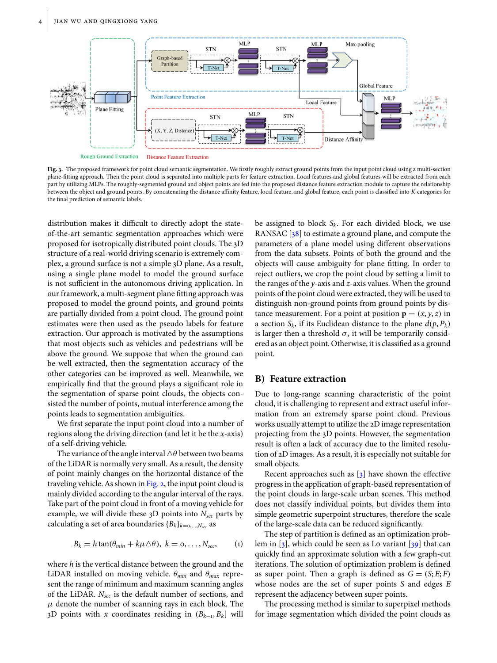

<span id="page-3-0"></span>**Fig. 3.** The proposed framework for point cloud semantic segmentation. We firstly roughly extract ground points from the input point cloud using a multi-section plane-fitting approach. Then the point cloud is separated into multiple parts for feature extraction. Local features and global features will be extracted from each part by utilizing MLPs. The roughly-segmented ground and object points are fed into the proposed distance feature extraction module to capture the relationship between the object and ground points. By concatenating the distance affinity feature, local feature, and global feature, each point is classified into *K* categories for the final prediction of semantic labels.

distribution makes it difficult to directly adopt the stateof-the-art semantic segmentation approaches which were proposed for isotropically distributed point clouds. The 3D structure of a real-world driving scenario is extremely complex, a ground surface is not a simple 3D plane. As a result, using a single plane model to model the ground surface is not sufficient in the autonomous driving application. In our framework, a multi-segment plane fitting approach was proposed to model the ground points, and ground points are partially divided from a point cloud. The ground point estimates were then used as the pseudo labels for feature extraction. Our approach is motivated by the assumptions that most objects such as vehicles and pedestrians will be above the ground. We suppose that when the ground can be well extracted, then the segmentation accuracy of the other categories can be improved as well. Meanwhile, we empirically find that the ground plays a significant role in the segmentation of sparse point clouds, the objects consisted the number of points, mutual interference among the points leads to segmentation ambiguities.

We first separate the input point cloud into a number of regions along the driving direction (and let it be the *x*-axis) of a self-driving vehicle.

The variance of the angle interval  $\triangle \theta$  between two beams of the LiDAR is normally very small. As a result, the density of point mainly changes on the horizontal distance of the traveling vehicle. As shown in [Fig. 2,](#page-2-0) the input point cloud is mainly divided according to the angular interval of the rays. Take part of the point cloud in front of a moving vehicle for example, we will divide these 3D points into *Nsec* parts by calculating a set of area boundaries  ${B_k}_{k=0,\dots,N_{\text{sec}}}$  as

$$
B_k = h \tan(\theta_{min} + k\mu \Delta \theta), \ k = 0, \ldots, N_{sec}, \qquad (1)
$$

where *h* is the vertical distance between the ground and the LiDAR installed on moving vehicle. θ*min* and θ*max* represent the range of minimum and maximum scanning angles of the LiDAR. *Nsec* is the default number of sections, and  $\mu$  denote the number of scanning rays in each block. The 3D points with *x* coordinates residing in  $(B_{k-1}, B_k]$  will

be assigned to block *Sk*. For each divided block, we use RANSAC [\[38\]](#page-8-6) to estimate a ground plane, and compute the parameters of a plane model using different observations from the data subsets. Points of both the ground and the objects will cause ambiguity for plane fitting. In order to reject outliers, we crop the point cloud by setting a limit to the ranges of the *y*-axis and *z*-axis values. When the ground points of the point cloud were extracted, they will be used to distinguish non-ground points from ground points by distance measurement. For a point at position  $\mathbf{p} = (x, y, z)$  in a section  $S_k$ , if its Euclidean distance to the plane  $d(p, P_k)$ is larger then a threshold  $\sigma$ , it will be temporarily considered as an object point. Otherwise, it is classified as a ground point.

## **B) Feature extraction**

Due to long-range scanning characteristic of the point cloud, it is challenging to represent and extract useful information from an extremely sparse point cloud. Previous works usually attempt to utilize the 2D image representation projecting from the 3D points. However, the segmentation result is often a lack of accuracy due to the limited resolution of 2D images. As a result, it is especially not suitable for small objects.

Recent approaches such as [\[3\]](#page-7-26) have shown the effective progress in the application of graph-based representation of the point clouds in large-scale urban scenes. This method does not classify individual points, but divides them into simple geometric superpoint structures, therefore the scale of the large-scale data can be reduced significantly.

The step of partition is defined as an optimization problem in  $[3]$ , which could be seen as Lo variant  $[39]$  that can quickly find an approximate solution with a few graph-cut iterations. The solution of optimization problem is defined as super point. Then a graph is defined as  $G = (S, E; F)$ whose nodes are the set of super points *S* and edges *E* represent the adjacency between super points.

The processing method is similar to superpixel methods for image segmentation which divided the point clouds as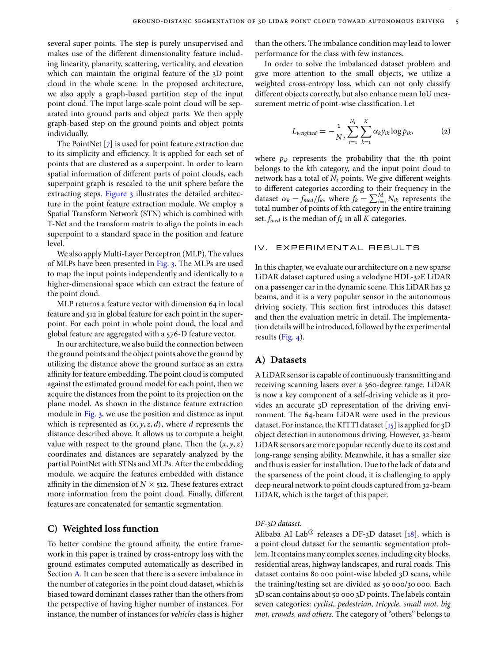several super points. The step is purely unsupervised and makes use of the different dimensionality feature including linearity, planarity, scattering, verticality, and elevation which can maintain the original feature of the 3D point cloud in the whole scene. In the proposed architecture, we also apply a graph-based partition step of the input point cloud. The input large-scale point cloud will be separated into ground parts and object parts. We then apply graph-based step on the ground points and object points individually.

The PointNet [\[7\]](#page-7-22) is used for point feature extraction due to its simplicity and efficiency. It is applied for each set of points that are clustered as a superpoint. In order to learn spatial information of different parts of point clouds, each superpoint graph is rescaled to the unit sphere before the extracting steps. [Figure 3](#page-3-0) illustrates the detailed architecture in the point feature extraction module. We employ a Spatial Transform Network (STN) which is combined with T-Net and the transform matrix to align the points in each superpoint to a standard space in the position and feature level.

We also apply Multi-Layer Perceptron (MLP). The values of MLPs have been presented in [Fig. 3.](#page-3-0) The MLPs are used to map the input points independently and identically to a higher-dimensional space which can extract the feature of the point cloud.

MLP returns a feature vector with dimension 64 in local feature and 512 in global feature for each point in the superpoint. For each point in whole point cloud, the local and global feature are aggregated with a 576-D feature vector.

In our architecture, we also build the connection between the ground points and the object points above the ground by utilizing the distance above the ground surface as an extra affinity for feature embedding. The point cloud is computed against the estimated ground model for each point, then we acquire the distances from the point to its projection on the plane model. As shown in the distance feature extraction module in [Fig. 3,](#page-3-0) we use the position and distance as input which is represented as  $(x, y, z, d)$ , where *d* represents the distance described above. It allows us to compute a height value with respect to the ground plane. Then the  $(x, y, z)$ coordinates and distances are separately analyzed by the partial PointNet with STNs and MLPs. After the embedding module, we acquire the features embedded with distance affinity in the dimension of  $N \times$  512. These features extract more information from the point cloud. Finally, different features are concatenated for semantic segmentation.

#### **C) Weighted loss function**

To better combine the ground affinity, the entire framework in this paper is trained by cross-entropy loss with the ground estimates computed automatically as described in Section [A.](#page-2-1) It can be seen that there is a severe imbalance in the number of categories in the point cloud dataset, which is biased toward dominant classes rather than the others from the perspective of having higher number of instances. For instance, the number of instances for *vehicles* class is higher

than the others. The imbalance condition may lead to lower performance for the class with few instances.

In order to solve the imbalanced dataset problem and give more attention to the small objects, we utilize a weighted cross-entropy loss, which can not only classify different objects correctly, but also enhance mean IoU measurement metric of point-wise classification. Let

$$
L_{weighted} = -\frac{1}{N} \sum_{i=1}^{N_t} \sum_{k=1}^{K} \alpha_k y_{ik} \log p_{ik},
$$
 (2)

where  $p_{ik}$  represents the probability that the *i*th point belongs to the *k*th category, and the input point cloud to network has a total of  $N_t$  points. We give different weights to different categories according to their frequency in the dataset  $\alpha_k = f_{\text{med}}/f_k$ , where  $f_k = \sum_{i=1}^M N_{ik}$  represents the total number of points of *k*th category in the entire training set.  $f_{med}$  is the median of  $f_k$  in all  $K$  categories.

#### IV. EXPERIMENTAL RESULTS

In this chapter, we evaluate our architecture on a new sparse LiDAR dataset captured using a velodyne HDL-32E LiDAR on a passenger car in the dynamic scene. This LiDAR has 32 beams, and it is a very popular sensor in the autonomous driving society. This section first introduces this dataset and then the evaluation metric in detail. The implementation details will be introduced, followed by the experimental results [\(Fig. 4\)](#page-5-0).

## **A) Datasets**

A LiDAR sensor is capable of continuously transmitting and receiving scanning lasers over a 360-degree range. LiDAR is now a key component of a self-driving vehicle as it provides an accurate 3D representation of the driving environment. The 64-beam LiDAR were used in the previous dataset. For instance, the KITTI dataset [\[15\]](#page-7-7) is applied for 3D object detection in autonomous driving. However, 32-beam LiDAR sensors are more popular recently due to its cost and long-range sensing ability. Meanwhile, it has a smaller size and thus is easier for installation. Due to the lack of data and the sparseness of the point cloud, it is challenging to apply deep neural network to point clouds captured from 32-beam LiDAR, which is the target of this paper.

#### *DF-3D dataset.*

Alibaba AI Lab<sup>®</sup> releases a DF-3D dataset [\[18\]](#page-7-10), which is a point cloud dataset for the semantic segmentation problem. It contains many complex scenes, including city blocks, residential areas, highway landscapes, and rural roads. This dataset contains 80 000 point-wise labeled 3D scans, while the training/testing set are divided as 50 000/30 000. Each 3D scan contains about 50 000 3D points. The labels contain seven categories: *cyclist, pedestrian, tricycle, small mot, big mot, crowds, and others*. The category of "others" belongs to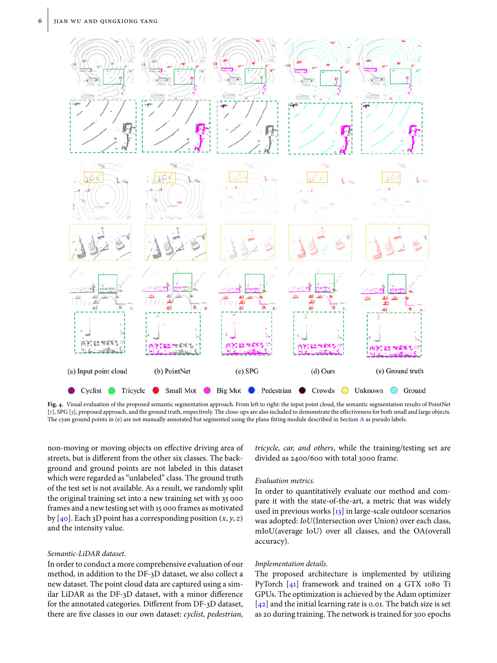

<span id="page-5-0"></span>**Fig. 4.** Visual evaluation of the proposed semantic segmentation approach. From left to right: the input point cloud, the semantic segmentation results of PointNet [\[7\]](#page-7-22), SPG [\[3\]](#page-7-26), proposed approach, and the ground truth, respectively. The close-ups are also included to demonstrate the effectiveness for both small and large objects. The cyan ground points in (e) are not manually annotated but segmented using the plane fitting module described in Section [A](#page-2-1) as pseudo labels.

non-moving or moving objects on effective driving area of streets, but is different from the other six classes. The background and ground points are not labeled in this dataset which were regarded as "unlabeled" class. The ground truth of the test set is not available. As a result, we randomly split the original training set into a new training set with 35 000 frames and a new testing set with 15 000 frames as motivated by  $[40]$ . Each 3D point has a corresponding position  $(x, y, z)$ and the intensity value.

## *Semantic-LiDAR dataset.*

In order to conduct a more comprehensive evaluation of our method, in addition to the DF-3D dataset, we also collect a new dataset. The point cloud data are captured using a similar LiDAR as the DF-3D dataset, with a minor difference for the annotated categories. Different from DF-3D dataset, there are five classes in our own dataset: *cyclist, pedestrian,* *tricycle, car, and others*, while the training/testing set are divided as 2400/600 with total 3000 frame.

#### *Evaluation metrics.*

In order to quantitatively evaluate our method and compare it with the state-of-the-art, a metric that was widely used in previous works [\[13\]](#page-7-5) in large-scale outdoor scenarios was adopted: *IoU*(Intersection over Union) over each class, mIoU(average IoU) over all classes, and the OA(overall accuracy).

#### *Implementation details.*

The proposed architecture is implemented by utilizing PyTorch [\[41\]](#page-8-9) framework and trained on 4 GTX 1080 Ti GPUs. The optimization is achieved by the Adam optimizer  $[42]$  and the initial learning rate is 0.01. The batch size is set as 20 during training. The network is trained for 300 epochs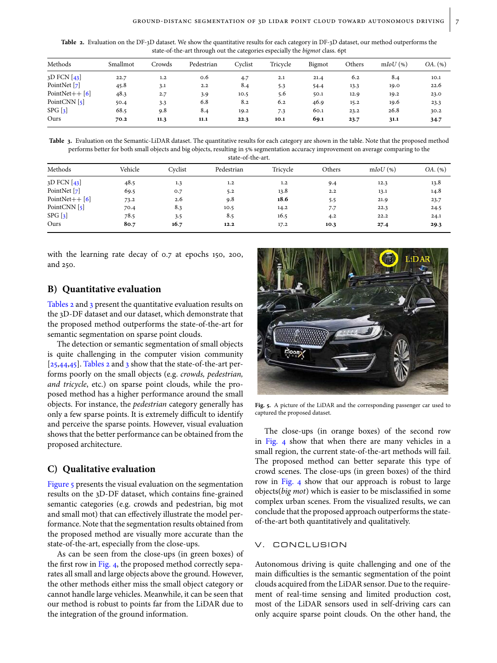<span id="page-6-0"></span>Table 2. Evaluation on the DF-3D dataset. We show the quantitative results for each category in DF-3D dataset, our method outperforms the state-of-the-art through out the categories especially the *bigmot* class. 6pt

| Methods             | Smallmot | Crowds | Pedestrian | Cvclist | Tricycle | Bigmot | Others | $mIoU$ (%) | OA. (%) |
|---------------------|----------|--------|------------|---------|----------|--------|--------|------------|---------|
| $3D$ FCN [43]       | 22.7     | 1.2    | 0.6        | 4.7     | 2.1      | 21.4   | 6.2    | 8.4        | 10.1    |
| PointNet [7]        | 45.8     | 3.1    | 2.2        | 8.4     | 5.3      | 54.4   | 13.3   | 19.0       | 22.6    |
| PointNet $++$ [6]   | 48.3     | 2.7    | 3.9        | 10.5    | 5.6      | 50.1   | 12.9   | 19.2       | 23.0    |
| PointCNN $\lceil$ 5 | 50.4     | 3.3    | 6.8        | 8.2     | 6.2      | 46.9   | 15.2   | 19.6       | 23.3    |
| SPG [3]             | 68.5     | 9.8    | 8.4        | 19.2    | 7.3      | 60.1   | 23.2   | 26.8       | 30.2    |
| Ours                | 70.2     | 11.3   | 11.1       | 22.3    | 10.1     | 69.1   | 23.7   | 31.1       | 34.7    |

<span id="page-6-1"></span>**Table 3.** Evaluation on the Semantic-LiDAR dataset. The quantitative results for each category are shown in the table. Note that the proposed method performs better for both small objects and big objects, resulting in 5% segmentation accuracy improvement on average comparing to the

| Methods                    | Vehicle | Cvclist | Pedestrian | Tricycle | Others | $mIoU$ (%) | OA. (%) |
|----------------------------|---------|---------|------------|----------|--------|------------|---------|
| $3D$ FCN $\left[43\right]$ | 48.5    | 1.3     | 1.2        | 1.2      | 9.4    | 12.3       | 13.8    |
| PointNet [7]               | 69.5    | O.7     | 5.2        | 13.8     | 2.2    | 13.1       | 14.8    |
| PointNet++ $[6]$           | 73.2    | 2.6     | 9.8        | 18.6     | 5.5    | 21.9       | 23.7    |
| PointCNN $\lceil$ 5        | 70.4    | 8.3     | 10.5       | 14.2     | 7.7    | 22.3       | 24.5    |
| SPG [3]                    | 78.5    | 3.5     | 8.5        | 16.5     | 4.2    | 22.2       | 24.1    |
| Ours                       | 80.7    | 16.7    | 12.2       | 17.2     | 10.3   | 27.4       | 29.3    |

with the learning rate decay of 0.7 at epochs 150, 200, and 250.

## **B) Quantitative evaluation**

[Tables 2](#page-6-0) and [3](#page-6-1) present the quantitative evaluation results on the 3D-DF dataset and our dataset, which demonstrate that the proposed method outperforms the state-of-the-art for semantic segmentation on sparse point clouds.

The detection or semantic segmentation of small objects is quite challenging in the computer vision community  $[25,44,45]$  $[25,44,45]$  $[25,44,45]$ . [Tables](#page-6-0) [2](#page-6-0) and [3](#page-6-1) show that the state-of-the-art performs poorly on the small objects (e.g. *crowds, pedestrian, and tricycle*, etc.) on sparse point clouds, while the proposed method has a higher performance around the small objects. For instance, the *pedestrian* category generally has only a few sparse points. It is extremely difficult to identify and perceive the sparse points. However, visual evaluation shows that the better performance can be obtained from the proposed architecture.

## **C) Qualitative evaluation**

[Figure 5](#page-6-2) presents the visual evaluation on the segmentation results on the 3D-DF dataset, which contains fine-grained semantic categories (e.g. crowds and pedestrian, big mot and small mot) that can effectively illustrate the model performance. Note that the segmentation results obtained from the proposed method are visually more accurate than the state-of-the-art, especially from the close-ups.

As can be seen from the close-ups (in green boxes) of the first row in [Fig. 4,](#page-5-0) the proposed method correctly separates all small and large objects above the ground. However, the other methods either miss the small object category or cannot handle large vehicles. Meanwhile, it can be seen that our method is robust to points far from the LiDAR due to the integration of the ground information.



<span id="page-6-2"></span>**Fig. 5.** A picture of the LiDAR and the corresponding passenger car used to captured the proposed dataset.

The close-ups (in orange boxes) of the second row in [Fig. 4](#page-5-0) show that when there are many vehicles in a small region, the current state-of-the-art methods will fail. The proposed method can better separate this type of crowd scenes. The close-ups (in green boxes) of the third row in [Fig. 4](#page-5-0) show that our approach is robust to large objects(*big mot*) which is easier to be misclassified in some complex urban scenes. From the visualized results, we can conclude that the proposed approach outperforms the stateof-the-art both quantitatively and qualitatively.

## V. CONCLUSION

Autonomous driving is quite challenging and one of the main difficulties is the semantic segmentation of the point clouds acquired from the LiDAR sensor. Due to the requirement of real-time sensing and limited production cost, most of the LiDAR sensors used in self-driving cars can only acquire sparse point clouds. On the other hand, the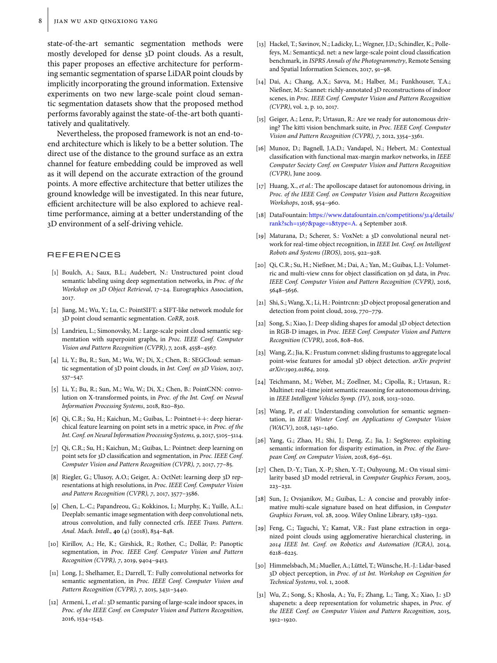state-of-the-art semantic segmentation methods were mostly developed for dense 3D point clouds. As a result, this paper proposes an effective architecture for performing semantic segmentation of sparse LiDAR point clouds by implicitly incorporating the ground information. Extensive experiments on two new large-scale point cloud semantic segmentation datasets show that the proposed method performs favorably against the state-of-the-art both quantitatively and qualitatively.

Nevertheless, the proposed framework is not an end-toend architecture which is likely to be a better solution. The direct use of the distance to the ground surface as an extra channel for feature embedding could be improved as well as it will depend on the accurate extraction of the ground points. A more effective architecture that better utilizes the ground knowledge will be investigated. In this near future, efficient architecture will be also explored to achieve realtime performance, aiming at a better understanding of the 3D environment of a self-driving vehicle.

#### REFERENCES

- <span id="page-7-0"></span>[1] Boulch, A.; Saux, B.L.; Audebert, N.: Unstructured point cloud semantic labeling using deep segmentation networks, in *Proc. of the Workshop on 3D Object Retrieval*, 17–24. Eurographics Association, 2017.
- <span id="page-7-25"></span>[2] Jiang, M.; Wu, Y.; Lu, C.: PointSIFT: a SIFT-like network module for 3D point cloud semantic segmentation. *CoRR*, 2018.
- <span id="page-7-26"></span>[3] Landrieu, L.; Simonovsky, M.: Large-scale point cloud semantic segmentation with superpoint graphs, in *Proc. IEEE Conf. Computer Vision and Pattern Recognition (CVPR)*, 7, 2018, 4558–4567.
- <span id="page-7-19"></span>[4] Li, Y.; Bu, R.; Sun, M.; Wu, W.; Di, X.; Chen, B.: SEGCloud: semantic segmentation of 3D point clouds, in *Int. Conf. on 3D Vision*, 2017, 537–547.
- <span id="page-7-24"></span>[5] Li, Y.; Bu, R.; Sun, M.; Wu, W.; Di, X.; Chen, B.: PointCNN: convolution on X-transformed points, in *Proc. of the Int. Conf. on Neural Information Processing Systems*, 2018, 820–830.
- <span id="page-7-23"></span>[6] Qi, C.R.; Su, H.; Kaichun, M.; Guibas, L.: Pointnet++: deep hierarchical feature learning on point sets in a metric space, in *Proc. of the Int. Conf. on Neural Information Processing Systems, 9*, 2017, 5105–5114.
- <span id="page-7-22"></span>[7] Qi, C.R.; Su, H.; Kaichun, M.; Guibas, L.: Pointnet: deep learning on point sets for 3D classification and segmentation, in *Proc. IEEE Conf. Computer Vision and Pattern Recognition (CVPR), 7*, 2017, 77–85.
- <span id="page-7-1"></span>[8] Riegler, G.; Ulusoy, A.O.; Geiger, A.: OctNet: learning deep 3D representations at high resolutions, in *Proc. IEEE Conf. Computer Vision and Pattern Recognition (CVPR), 7*, 2017, 3577–3586.
- <span id="page-7-2"></span>[9] Chen, L.-C.; Papandreou, G.; Kokkinos, I.; Murphy, K.; Yuille, A.L.: Deeplab: semantic image segmentation with deep convolutional nets, atrous convolution, and fully connected crfs. *IEEE Trans. Pattern. Anal. Mach. Intell*., **40** (4) (2018), 834–848.
- [10] Kirillov, A.; He, K.; Girshick, R.; Rother, C.; Dollár, P.: Panoptic segmentation, in *Proc. IEEE Conf. Computer Vision and Pattern Recognition (CVPR), 7*, 2019, 9404–9413.
- <span id="page-7-3"></span>[11] Long, J.; Shelhamer, E.; Darrell, T.: Fully convolutional networks for semantic segmentation, in *Proc. IEEE Conf. Computer Vision and Pattern Recognition (CVPR), 7*, 2015, 3431–3440.
- <span id="page-7-4"></span>[12] Armeni, I., *et al.*: 3D semantic parsing of large-scale indoor spaces, in *Proc. of the IEEE Conf. on Computer Vision and Pattern Recognition*, 2016, 1534–1543.
- <span id="page-7-5"></span>[13] Hackel, T.; Savinov, N.; Ladicky, L.; Wegner, J.D.; Schindler, K.; Pollefeys, M.: Semantic3d. net: a new large-scale point cloud classification benchmark, in *ISPRS Annals of the Photogrammetry*, Remote Sensing and Spatial Information Sciences, 2017, 91–98.
- <span id="page-7-6"></span>[14] Dai, A.; Chang, A.X.; Savva, M.; Halber, M.; Funkhouser, T.A.; Nießner, M.: Scannet: richly-annotated 3D reconstructions of indoor scenes, in *Proc. IEEE Conf. Computer Vision and Pattern Recognition (CVPR)*, vol. 2, p. 10, 2017.
- <span id="page-7-7"></span>[15] Geiger, A.; Lenz, P.; Urtasun, R.: Are we ready for autonomous driving? The kitti vision benchmark suite, in *Proc. IEEE Conf. Computer Vision and Pattern Recognition (CVPR), 7*, 2012, 3354–3361.
- <span id="page-7-8"></span>[16] Munoz, D.; Bagnell, J.A.D.; Vandapel, N.; Hebert, M.: Contextual classification with functional max-margin markov networks, in *IEEE Computer Society Conf. on Computer Vision and Pattern Recognition (CVPR)*, June 2009.
- <span id="page-7-9"></span>[17] Huang, X., *et al.*: The apolloscape dataset for autonomous driving, in *Proc. of the IEEE Conf. on Computer Vision and Pattern Recognition Workshops*, 2018, 954–960.
- <span id="page-7-10"></span>[18] DataFountain: [https://www.datafountain.cn/competitions/314/details/](https://www.datafountain.cn/competitions/314/details/rank?sch=1367&page=1&type=A) [rank?sch=1367&page=1&type=A.](https://www.datafountain.cn/competitions/314/details/rank?sch=1367&page=1&type=A) 4 September 2018.
- <span id="page-7-11"></span>[19] Maturana, D.; Scherer, S.: VoxNet: a 3D convolutional neural network for real-time object recognition, in *IEEE Int. Conf. on Intelligent Robots and Systems (IROS)*, 2015, 922–928.
- <span id="page-7-20"></span>[20] Qi, C.R.; Su, H.; Nießner, M.; Dai, A.; Yan, M.; Guibas, L.J.: Volumetric and multi-view cnns for object classification on 3d data, in *Proc. IEEE Conf. Computer Vision and Pattern Recognition (CVPR)*, 2016, 5648–5656.
- [21] Shi, S.; Wang, X.; Li, H.: Pointrcnn: 3D object proposal generation and detection from point cloud, 2019, 770–779.
- [22] Song, S.; Xiao, J.: Deep sliding shapes for amodal 3D object detection in RGB-D images, in *Proc. IEEE Conf. Computer Vision and Pattern Recognition (CVPR)*, 2016, 808–816.
- <span id="page-7-12"></span>[23] Wang, Z.; Jia, K.: Frustum convnet: sliding frustums to aggregate local point-wise features for amodal 3D object detection. *arXiv preprint arXiv:1903.01864*, 2019.
- <span id="page-7-13"></span>[24] Teichmann, M.; Weber, M.; Zoellner, M.; Cipolla, R.; Urtasun, R.: Multinet: real-time joint semantic reasoning for autonomous driving, in *IEEE Intelligent Vehicles Symp. (IV)*, 2018, 1013–1020.
- <span id="page-7-27"></span>[25] Wang, P., *et al.*: Understanding convolution for semantic segmentation, in *IEEE Winter Conf. on Applications of Computer Vision (WACV)*, 2018, 1451–1460.
- <span id="page-7-14"></span>[26] Yang, G.; Zhao, H.; Shi, J.; Deng, Z.; Jia, J.: SegStereo: exploiting semantic information for disparity estimation, in *Proc. of the European Conf. on Computer Vision*, 2018, 636–651.
- <span id="page-7-15"></span>[27] Chen, D.-Y.; Tian, X.-P.; Shen, Y.-T.; Ouhyoung, M.: On visual similarity based 3D model retrieval, in *Computer Graphics Forum*, 2003, 223–232.
- <span id="page-7-16"></span>[28] Sun, J.; Ovsjanikov, M.; Guibas, L.: A concise and provably informative multi-scale signature based on heat diffusion, in *Computer Graphics Forum*, vol. 28, 2009. Wiley Online Library, 1383–1392.
- <span id="page-7-17"></span>[29] Feng, C.; Taguchi, Y.; Kamat, V.R.: Fast plane extraction in organized point clouds using agglomerative hierarchical clustering, in *2014 IEEE Int. Conf. on Robotics and Automation (ICRA)*, 2014, 6218–6225.
- <span id="page-7-18"></span>[30] Himmelsbach, M.; Mueller, A.; Lüttel, T.; Wünsche, H.-J.: Lidar-based 3D object perception, in *Proc. of 1st Int. Workshop on Cognition for Technical Systems*, vol. 1, 2008.
- <span id="page-7-21"></span>[31] Wu, Z.; Song, S.; Khosla, A.; Yu, F.; Zhang, L.; Tang, X.; Xiao, J.: 3D shapenets: a deep representation for volumetric shapes, in *Proc. of the IEEE Conf. on Computer Vision and Pattern Recognition*, 2015, 1912–1920.